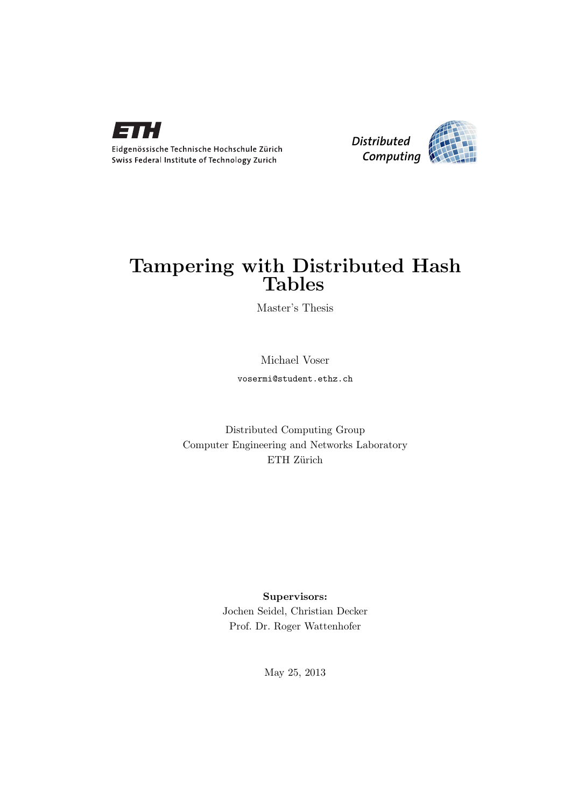



### Tampering with Distributed Hash Tables

Master's Thesis

### Michael Voser

vosermi@student.ethz.ch

Distributed Computing Group Computer Engineering and Networks Laboratory ETH Zürich

> Supervisors: Jochen Seidel, Christian Decker Prof. Dr. Roger Wattenhofer

> > May 25, 2013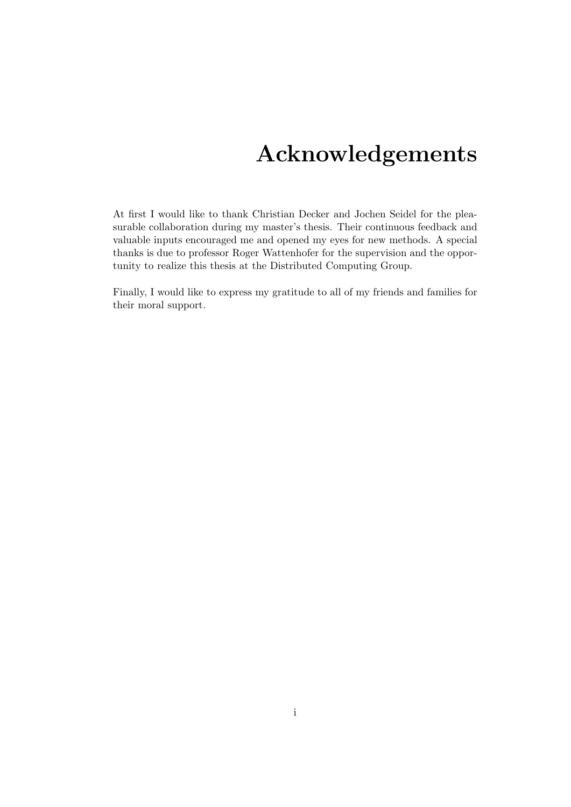## Acknowledgements

<span id="page-1-0"></span>At first I would like to thank Christian Decker and Jochen Seidel for the pleasurable collaboration during my master's thesis. Their continuous feedback and valuable inputs encouraged me and opened my eyes for new methods. A special thanks is due to professor Roger Wattenhofer for the supervision and the opportunity to realize this thesis at the Distributed Computing Group.

Finally, I would like to express my gratitude to all of my friends and families for their moral support.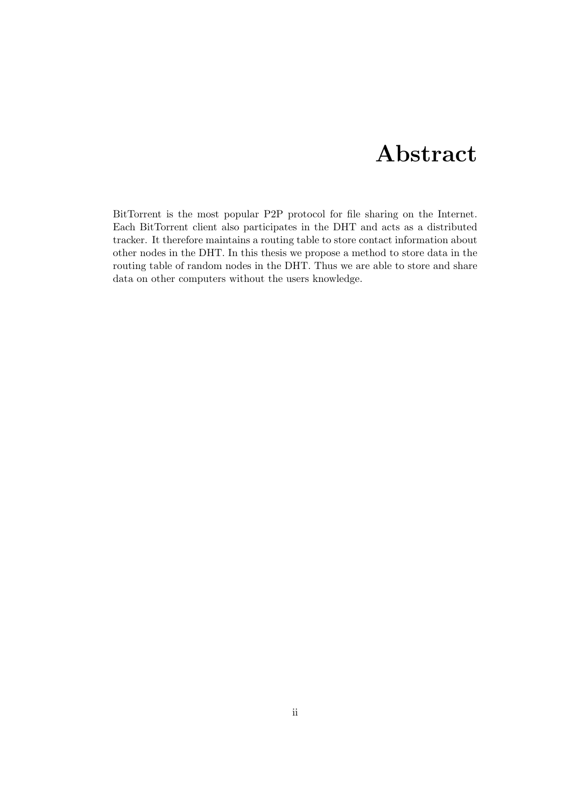## Abstract

<span id="page-2-0"></span>BitTorrent is the most popular P2P protocol for file sharing on the Internet. Each BitTorrent client also participates in the DHT and acts as a distributed tracker. It therefore maintains a routing table to store contact information about other nodes in the DHT. In this thesis we propose a method to store data in the routing table of random nodes in the DHT. Thus we are able to store and share data on other computers without the users knowledge.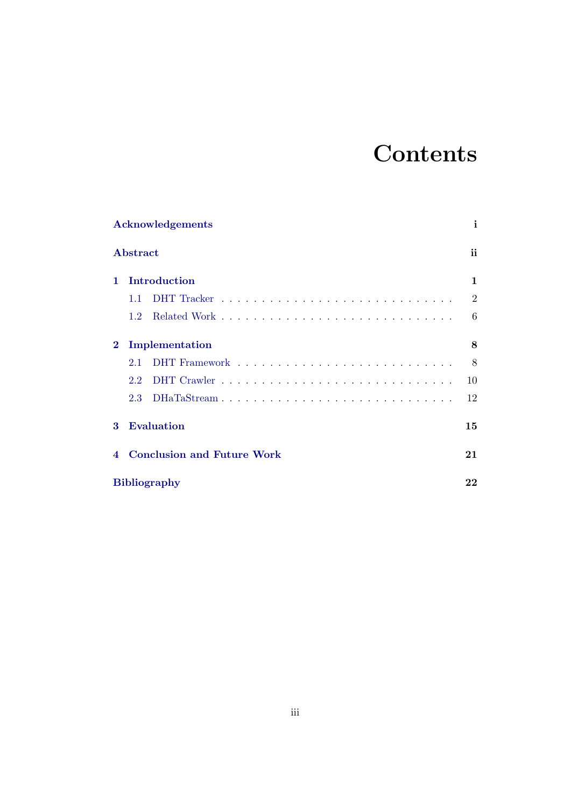# **Contents**

|                | Acknowledgements                  | i              |  |  |
|----------------|-----------------------------------|----------------|--|--|
|                | Abstract                          | ii             |  |  |
| 1              | Introduction                      | 1              |  |  |
|                | 1.1                               | $\overline{2}$ |  |  |
|                | $1.2^{\circ}$                     | 6              |  |  |
| $\bf{2}$       | Implementation                    | 8              |  |  |
|                | 2.1                               | 8              |  |  |
|                | 2.2                               | 10             |  |  |
|                | DHaTaStream<br>2.3                | 12             |  |  |
| 3              | <b>Evaluation</b>                 |                |  |  |
| $\overline{4}$ | <b>Conclusion and Future Work</b> |                |  |  |
|                | <b>Bibliography</b>               | 22             |  |  |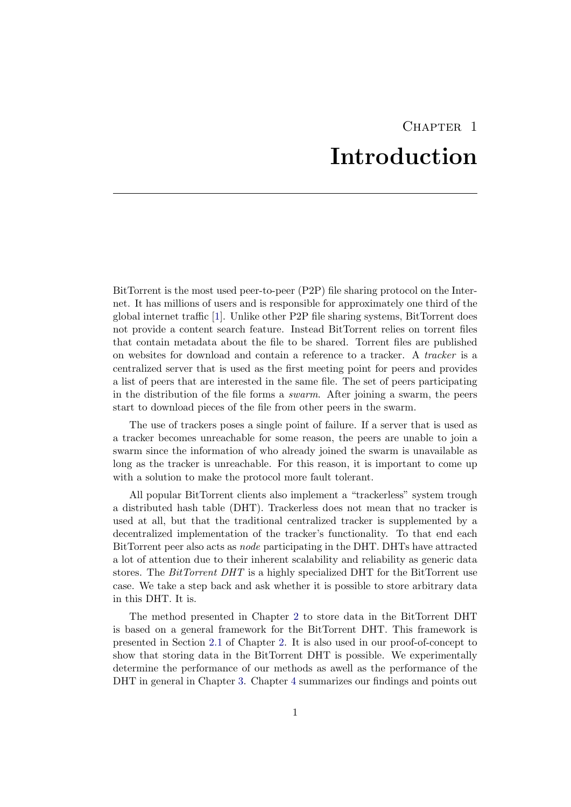## CHAPTER<sub>1</sub> Introduction

<span id="page-4-0"></span>BitTorrent is the most used peer-to-peer (P2P) file sharing protocol on the Internet. It has millions of users and is responsible for approximately one third of the global internet traffic [\[1\]](#page-25-1). Unlike other P2P file sharing systems, BitTorrent does not provide a content search feature. Instead BitTorrent relies on torrent files that contain metadata about the file to be shared. Torrent files are published on websites for download and contain a reference to a tracker. A tracker is a centralized server that is used as the first meeting point for peers and provides a list of peers that are interested in the same file. The set of peers participating in the distribution of the file forms a *swarm*. After joining a swarm, the peers start to download pieces of the file from other peers in the swarm.

The use of trackers poses a single point of failure. If a server that is used as a tracker becomes unreachable for some reason, the peers are unable to join a swarm since the information of who already joined the swarm is unavailable as long as the tracker is unreachable. For this reason, it is important to come up with a solution to make the protocol more fault tolerant.

All popular BitTorrent clients also implement a "trackerless" system trough a distributed hash table (DHT). Trackerless does not mean that no tracker is used at all, but that the traditional centralized tracker is supplemented by a decentralized implementation of the tracker's functionality. To that end each BitTorrent peer also acts as node participating in the DHT. DHTs have attracted a lot of attention due to their inherent scalability and reliability as generic data stores. The *BitTorrent DHT* is a highly specialized DHT for the BitTorrent use case. We take a step back and ask whether it is possible to store arbitrary data in this DHT. It is.

The method presented in Chapter [2](#page-11-0) to store data in the BitTorrent DHT is based on a general framework for the BitTorrent DHT. This framework is presented in Section [2.1](#page-11-1) of Chapter [2.](#page-11-0) It is also used in our proof-of-concept to show that storing data in the BitTorrent DHT is possible. We experimentally determine the performance of our methods as awell as the performance of the DHT in general in Chapter [3.](#page-18-0) Chapter [4](#page-24-0) summarizes our findings and points out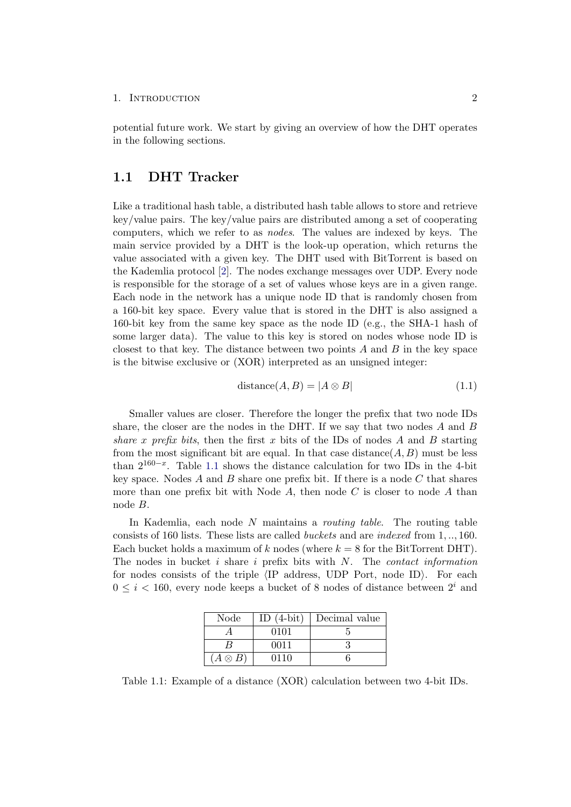potential future work. We start by giving an overview of how the DHT operates in the following sections.

### <span id="page-5-0"></span>1.1 DHT Tracker

Like a traditional hash table, a distributed hash table allows to store and retrieve key/value pairs. The key/value pairs are distributed among a set of cooperating computers, which we refer to as nodes. The values are indexed by keys. The main service provided by a DHT is the look-up operation, which returns the value associated with a given key. The DHT used with BitTorrent is based on the Kademlia protocol [\[2\]](#page-25-2). The nodes exchange messages over UDP. Every node is responsible for the storage of a set of values whose keys are in a given range. Each node in the network has a unique node ID that is randomly chosen from a 160-bit key space. Every value that is stored in the DHT is also assigned a 160-bit key from the same key space as the node ID (e.g., the SHA-1 hash of some larger data). The value to this key is stored on nodes whose node ID is closest to that key. The distance between two points  $A$  and  $B$  in the key space is the bitwise exclusive or (XOR) interpreted as an unsigned integer:

$$
distance(A, B) = |A \otimes B|
$$
\n(1.1)

Smaller values are closer. Therefore the longer the prefix that two node IDs share, the closer are the nodes in the DHT. If we say that two nodes  $A$  and  $B$ share x prefix bits, then the first x bits of the IDs of nodes A and B starting from the most significant bit are equal. In that case distance  $(A, B)$  must be less than  $2^{160-x}$ . Table [1.1](#page-5-1) shows the distance calculation for two IDs in the 4-bit key space. Nodes  $A$  and  $B$  share one prefix bit. If there is a node  $C$  that shares more than one prefix bit with Node  $A$ , then node  $C$  is closer to node  $A$  than node B.

In Kademlia, each node  $N$  maintains a *routing table*. The routing table consists of 160 lists. These lists are called buckets and are indexed from 1, .., 160. Each bucket holds a maximum of k nodes (where  $k = 8$  for the BitTorrent DHT). The nodes in bucket i share i prefix bits with  $N$ . The *contact information* for nodes consists of the triple  $\langle$ IP address, UDP Port, node ID $\rangle$ . For each  $0 \leq i \leq 160$ , every node keeps a bucket of 8 nodes of distance between  $2^i$  and

| Node         | ID $(4-bit)$ | Decimal value |
|--------------|--------------|---------------|
|              | 0101         |               |
|              | 0011         |               |
| $A\otimes B$ | 0110         |               |

<span id="page-5-1"></span>Table 1.1: Example of a distance (XOR) calculation between two 4-bit IDs.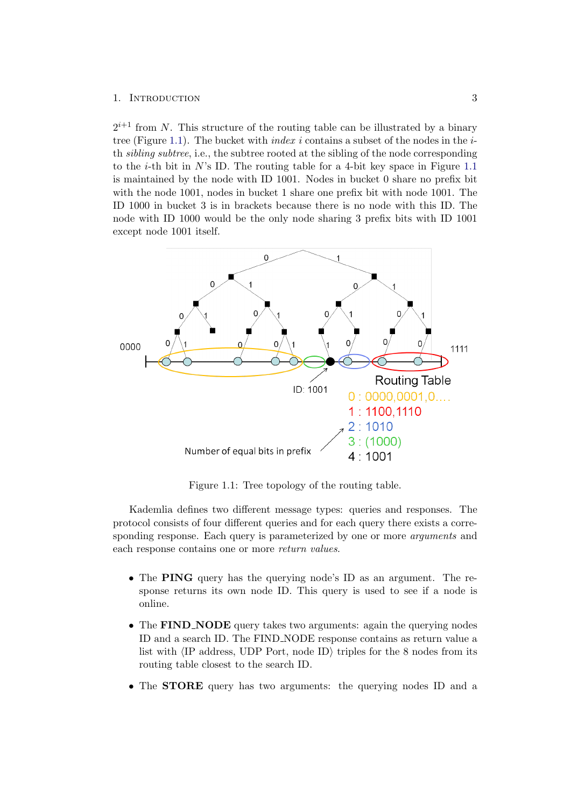$2^{i+1}$  from N. This structure of the routing table can be illustrated by a binary tree (Figure [1.1\)](#page-6-0). The bucket with *index i* contains a subset of the nodes in the  $i$ th sibling subtree, i.e., the subtree rooted at the sibling of the node corresponding to the *i*-th bit in  $N$ 's ID. The routing table for a 4-bit key space in Figure [1.1](#page-6-0) is maintained by the node with ID 1001. Nodes in bucket 0 share no prefix bit with the node 1001, nodes in bucket 1 share one prefix bit with node 1001. The ID 1000 in bucket 3 is in brackets because there is no node with this ID. The node with ID 1000 would be the only node sharing 3 prefix bits with ID 1001 except node 1001 itself.



<span id="page-6-0"></span>Figure 1.1: Tree topology of the routing table.

Kademlia defines two different message types: queries and responses. The protocol consists of four different queries and for each query there exists a corresponding response. Each query is parameterized by one or more *arguments* and each response contains one or more return values.

- The PING query has the querying node's ID as an argument. The response returns its own node ID. This query is used to see if a node is online.
- The FIND\_NODE query takes two arguments: again the querying nodes ID and a search ID. The FIND NODE response contains as return value a list with  $\langle$ IP address, UDP Port, node ID $\rangle$  triples for the 8 nodes from its routing table closest to the search ID.
- The **STORE** query has two arguments: the querying nodes ID and a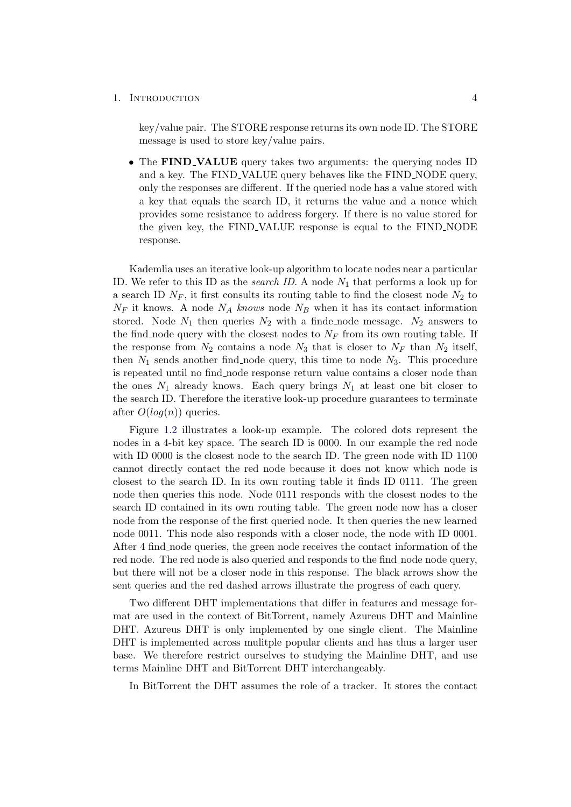key/value pair. The STORE response returns its own node ID. The STORE message is used to store key/value pairs.

• The FIND\_VALUE query takes two arguments: the querying nodes ID and a key. The FIND VALUE query behaves like the FIND NODE query, only the responses are different. If the queried node has a value stored with a key that equals the search ID, it returns the value and a nonce which provides some resistance to address forgery. If there is no value stored for the given key, the FIND VALUE response is equal to the FIND NODE response.

Kademlia uses an iterative look-up algorithm to locate nodes near a particular ID. We refer to this ID as the *search ID*. A node  $N_1$  that performs a look up for a search ID  $N_F$ , it first consults its routing table to find the closest node  $N_2$  to  $N_F$  it knows. A node  $N_A$  knows node  $N_B$  when it has its contact information stored. Node  $N_1$  then queries  $N_2$  with a finde node message.  $N_2$  answers to the find node query with the closest nodes to  $N_F$  from its own routing table. If the response from  $N_2$  contains a node  $N_3$  that is closer to  $N_F$  than  $N_2$  itself, then  $N_1$  sends another find node query, this time to node  $N_3$ . This procedure is repeated until no find node response return value contains a closer node than the ones  $N_1$  already knows. Each query brings  $N_1$  at least one bit closer to the search ID. Therefore the iterative look-up procedure guarantees to terminate after  $O(log(n))$  queries.

Figure [1.2](#page-8-0) illustrates a look-up example. The colored dots represent the nodes in a 4-bit key space. The search ID is 0000. In our example the red node with ID 0000 is the closest node to the search ID. The green node with ID 1100 cannot directly contact the red node because it does not know which node is closest to the search ID. In its own routing table it finds ID 0111. The green node then queries this node. Node 0111 responds with the closest nodes to the search ID contained in its own routing table. The green node now has a closer node from the response of the first queried node. It then queries the new learned node 0011. This node also responds with a closer node, the node with ID 0001. After 4 find node queries, the green node receives the contact information of the red node. The red node is also queried and responds to the find node node query, but there will not be a closer node in this response. The black arrows show the sent queries and the red dashed arrows illustrate the progress of each query.

Two different DHT implementations that differ in features and message format are used in the context of BitTorrent, namely Azureus DHT and Mainline DHT. Azureus DHT is only implemented by one single client. The Mainline DHT is implemented across mulitple popular clients and has thus a larger user base. We therefore restrict ourselves to studying the Mainline DHT, and use terms Mainline DHT and BitTorrent DHT interchangeably.

In BitTorrent the DHT assumes the role of a tracker. It stores the contact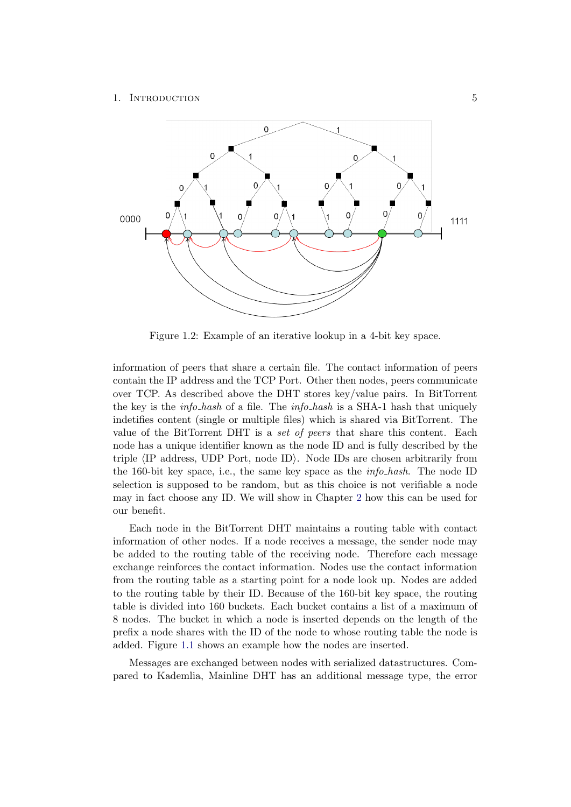

<span id="page-8-0"></span>Figure 1.2: Example of an iterative lookup in a 4-bit key space.

information of peers that share a certain file. The contact information of peers contain the IP address and the TCP Port. Other then nodes, peers communicate over TCP. As described above the DHT stores key/value pairs. In BitTorrent the key is the *info-hash* of a file. The *info-hash* is a SHA-1 hash that uniquely indetifies content (single or multiple files) which is shared via BitTorrent. The value of the BitTorrent DHT is a set of peers that share this content. Each node has a unique identifier known as the node ID and is fully described by the triple  $\langle$ IP address, UDP Port, node ID $\rangle$ . Node IDs are chosen arbitrarily from the 160-bit key space, i.e., the same key space as the info hash. The node ID selection is supposed to be random, but as this choice is not verifiable a node may in fact choose any ID. We will show in Chapter [2](#page-11-0) how this can be used for our benefit.

Each node in the BitTorrent DHT maintains a routing table with contact information of other nodes. If a node receives a message, the sender node may be added to the routing table of the receiving node. Therefore each message exchange reinforces the contact information. Nodes use the contact information from the routing table as a starting point for a node look up. Nodes are added to the routing table by their ID. Because of the 160-bit key space, the routing table is divided into 160 buckets. Each bucket contains a list of a maximum of 8 nodes. The bucket in which a node is inserted depends on the length of the prefix a node shares with the ID of the node to whose routing table the node is added. Figure [1.1](#page-6-0) shows an example how the nodes are inserted.

Messages are exchanged between nodes with serialized datastructures. Compared to Kademlia, Mainline DHT has an additional message type, the error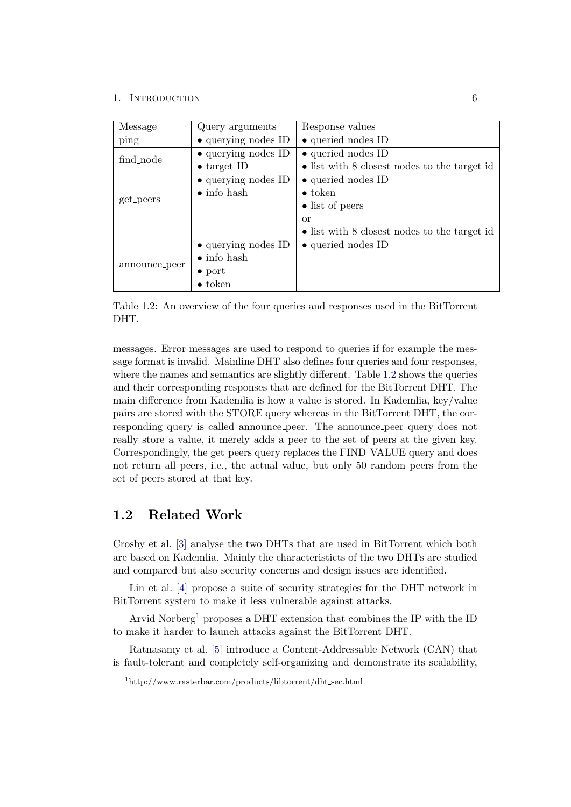| Message       | Query arguments             | Response values                              |
|---------------|-----------------------------|----------------------------------------------|
| ping          | • querying nodes ID         | $\bullet$ queried nodes ID                   |
| find_node     | $\bullet$ querying nodes ID | $\bullet$ queried nodes ID                   |
|               | $\bullet$ target ID         | • list with 8 closest nodes to the target id |
|               | $\bullet$ querying nodes ID | $\bullet$ queried nodes ID                   |
|               | $\bullet$ info_hash         | $\bullet$ token                              |
| get_peers     |                             | $\bullet$ list of peers                      |
|               |                             | or                                           |
|               |                             | • list with 8 closest nodes to the target id |
|               | $\bullet$ querying nodes ID | $\bullet$ queried nodes ID                   |
|               | $\bullet$ info_hash         |                                              |
| announce_peer | $\bullet$ port              |                                              |
|               | $\bullet$ token             |                                              |

<span id="page-9-1"></span>Table 1.2: An overview of the four queries and responses used in the BitTorrent DHT.

messages. Error messages are used to respond to queries if for example the message format is invalid. Mainline DHT also defines four queries and four responses, where the names and semantics are slightly different. Table [1.2](#page-9-1) shows the queries and their corresponding responses that are defined for the BitTorrent DHT. The main difference from Kademlia is how a value is stored. In Kademlia, key/value pairs are stored with the STORE query whereas in the BitTorrent DHT, the corresponding query is called announce peer. The announce peer query does not really store a value, it merely adds a peer to the set of peers at the given key. Correspondingly, the get peers query replaces the FIND VALUE query and does not return all peers, i.e., the actual value, but only 50 random peers from the set of peers stored at that key.

### <span id="page-9-0"></span>1.2 Related Work

Crosby et al. [\[3\]](#page-25-3) analyse the two DHTs that are used in BitTorrent which both are based on Kademlia. Mainly the characteristicts of the two DHTs are studied and compared but also security concerns and design issues are identified.

Lin et al. [\[4\]](#page-25-4) propose a suite of security strategies for the DHT network in BitTorrent system to make it less vulnerable against attacks.

Arvid Norberg<sup>1</sup> proposes a DHT extension that combines the IP with the ID to make it harder to launch attacks against the BitTorrent DHT.

Ratnasamy et al. [\[5\]](#page-25-5) introduce a Content-Addressable Network (CAN) that is fault-tolerant and completely self-organizing and demonstrate its scalability,

<sup>1</sup>http://www.rasterbar.com/products/libtorrent/dht sec.html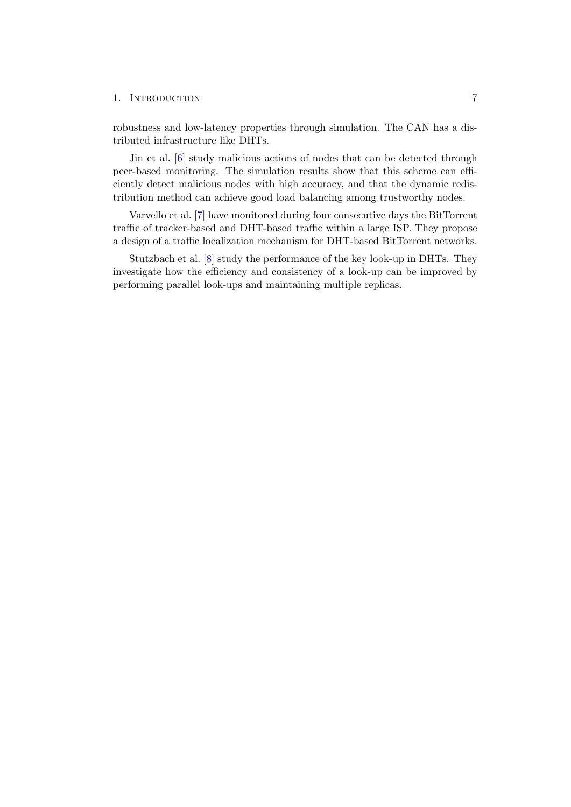robustness and low-latency properties through simulation. The CAN has a distributed infrastructure like DHTs.

Jin et al. [\[6\]](#page-25-6) study malicious actions of nodes that can be detected through peer-based monitoring. The simulation results show that this scheme can efficiently detect malicious nodes with high accuracy, and that the dynamic redistribution method can achieve good load balancing among trustworthy nodes.

Varvello et al. [\[7\]](#page-25-7) have monitored during four consecutive days the BitTorrent traffic of tracker-based and DHT-based traffic within a large ISP. They propose a design of a traffic localization mechanism for DHT-based BitTorrent networks.

Stutzbach et al. [\[8\]](#page-25-8) study the performance of the key look-up in DHTs. They investigate how the efficiency and consistency of a look-up can be improved by performing parallel look-ups and maintaining multiple replicas.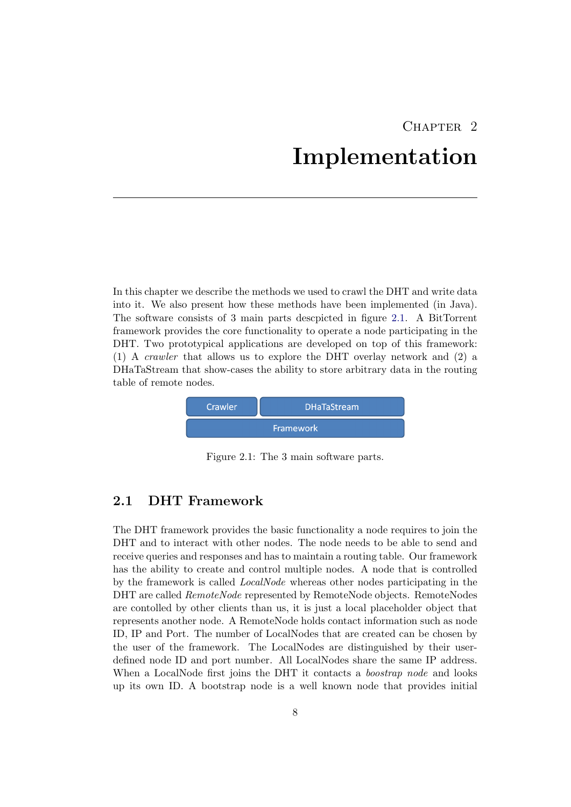## CHAPTER<sub>2</sub> Implementation

<span id="page-11-0"></span>In this chapter we describe the methods we used to crawl the DHT and write data into it. We also present how these methods have been implemented (in Java). The software consists of 3 main parts descpicted in figure [2.1.](#page-11-2) A BitTorrent framework provides the core functionality to operate a node participating in the DHT. Two prototypical applications are developed on top of this framework: (1) A crawler that allows us to explore the DHT overlay network and (2) a DHaTaStream that show-cases the ability to store arbitrary data in the routing table of remote nodes.



<span id="page-11-2"></span>Figure 2.1: The 3 main software parts.

### <span id="page-11-1"></span>2.1 DHT Framework

The DHT framework provides the basic functionality a node requires to join the DHT and to interact with other nodes. The node needs to be able to send and receive queries and responses and has to maintain a routing table. Our framework has the ability to create and control multiple nodes. A node that is controlled by the framework is called LocalNode whereas other nodes participating in the DHT are called RemoteNode represented by RemoteNode objects. RemoteNodes are contolled by other clients than us, it is just a local placeholder object that represents another node. A RemoteNode holds contact information such as node ID, IP and Port. The number of LocalNodes that are created can be chosen by the user of the framework. The LocalNodes are distinguished by their userdefined node ID and port number. All LocalNodes share the same IP address. When a LocalNode first joins the DHT it contacts a *boostrap node* and looks up its own ID. A bootstrap node is a well known node that provides initial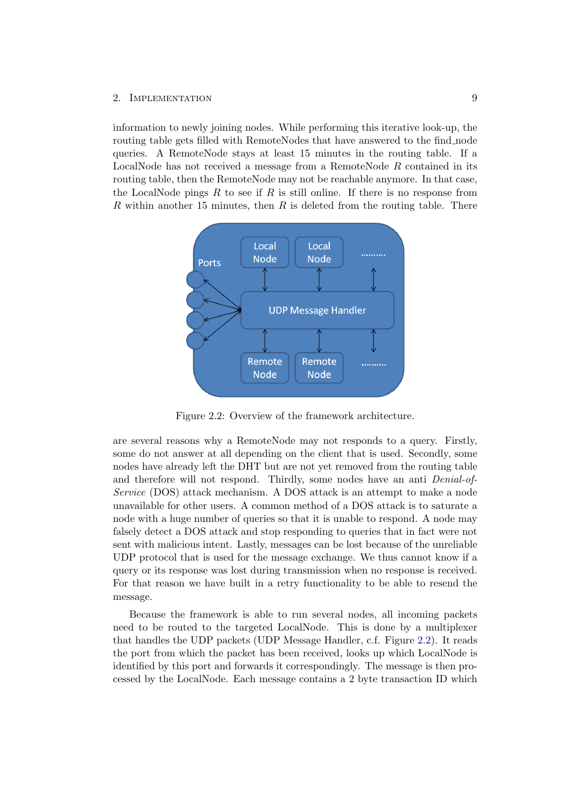information to newly joining nodes. While performing this iterative look-up, the routing table gets filled with RemoteNodes that have answered to the find node queries. A RemoteNode stays at least 15 minutes in the routing table. If a LocalNode has not received a message from a RemoteNode R contained in its routing table, then the RemoteNode may not be reachable anymore. In that case, the LocalNode pings  $R$  to see if  $R$  is still online. If there is no response from R within another 15 minutes, then R is deleted from the routing table. There



<span id="page-12-0"></span>Figure 2.2: Overview of the framework architecture.

are several reasons why a RemoteNode may not responds to a query. Firstly, some do not answer at all depending on the client that is used. Secondly, some nodes have already left the DHT but are not yet removed from the routing table and therefore will not respond. Thirdly, some nodes have an anti Denial-of-Service (DOS) attack mechanism. A DOS attack is an attempt to make a node unavailable for other users. A common method of a DOS attack is to saturate a node with a huge number of queries so that it is unable to respond. A node may falsely detect a DOS attack and stop responding to queries that in fact were not sent with malicious intent. Lastly, messages can be lost because of the unreliable UDP protocol that is used for the message exchange. We thus cannot know if a query or its response was lost during transmission when no response is received. For that reason we have built in a retry functionality to be able to resend the message.

Because the framework is able to run several nodes, all incoming packets need to be routed to the targeted LocalNode. This is done by a multiplexer that handles the UDP packets (UDP Message Handler, c.f. Figure [2.2\)](#page-12-0). It reads the port from which the packet has been received, looks up which LocalNode is identified by this port and forwards it correspondingly. The message is then processed by the LocalNode. Each message contains a 2 byte transaction ID which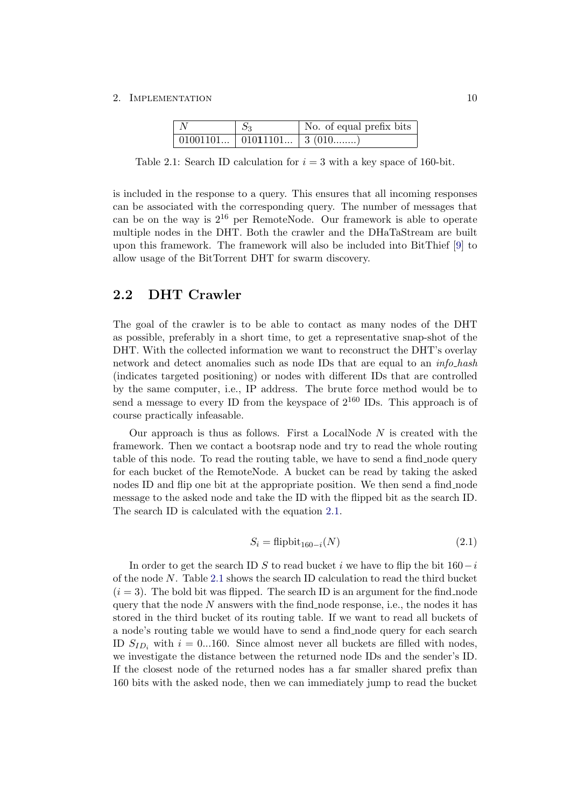<span id="page-13-2"></span>

| $\mid N$ | $S_3$                         | No. of equal prefix bits |
|----------|-------------------------------|--------------------------|
|          | 01001101   01011101   3 (010) |                          |

Table 2.1: Search ID calculation for  $i = 3$  with a key space of 160-bit.

is included in the response to a query. This ensures that all incoming responses can be associated with the corresponding query. The number of messages that can be on the way is  $2^{16}$  per RemoteNode. Our framework is able to operate multiple nodes in the DHT. Both the crawler and the DHaTaStream are built upon this framework. The framework will also be included into BitThief [\[9\]](#page-25-9) to allow usage of the BitTorrent DHT for swarm discovery.

### <span id="page-13-0"></span>2.2 DHT Crawler

The goal of the crawler is to be able to contact as many nodes of the DHT as possible, preferably in a short time, to get a representative snap-shot of the DHT. With the collected information we want to reconstruct the DHT's overlay network and detect anomalies such as node IDs that are equal to an *info-hash* (indicates targeted positioning) or nodes with different IDs that are controlled by the same computer, i.e., IP address. The brute force method would be to send a message to every ID from the keyspace of  $2^{160}$  IDs. This approach is of course practically infeasable.

Our approach is thus as follows. First a LocalNode  $N$  is created with the framework. Then we contact a bootsrap node and try to read the whole routing table of this node. To read the routing table, we have to send a find node query for each bucket of the RemoteNode. A bucket can be read by taking the asked nodes ID and flip one bit at the appropriate position. We then send a find node message to the asked node and take the ID with the flipped bit as the search ID. The search ID is calculated with the equation [2.1.](#page-13-1)

<span id="page-13-1"></span>
$$
S_i = \text{flipbit}_{160-i}(N) \tag{2.1}
$$

In order to get the search ID S to read bucket i we have to flip the bit  $160-i$ of the node N. Table [2.1](#page-13-2) shows the search ID calculation to read the third bucket  $(i = 3)$ . The bold bit was flipped. The search ID is an argument for the find node query that the node  $N$  answers with the find node response, i.e., the nodes it has stored in the third bucket of its routing table. If we want to read all buckets of a node's routing table we would have to send a find node query for each search ID  $S_{ID_i}$  with  $i = 0...160$ . Since almost never all buckets are filled with nodes, we investigate the distance between the returned node IDs and the sender's ID. If the closest node of the returned nodes has a far smaller shared prefix than 160 bits with the asked node, then we can immediately jump to read the bucket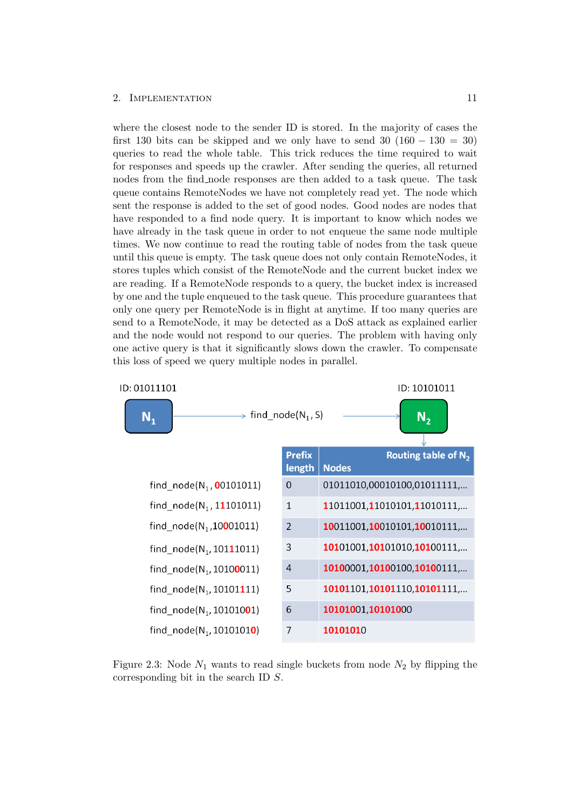where the closest node to the sender ID is stored. In the majority of cases the first 130 bits can be skipped and we only have to send 30  $(160 - 130 = 30)$ queries to read the whole table. This trick reduces the time required to wait for responses and speeds up the crawler. After sending the queries, all returned nodes from the find node responses are then added to a task queue. The task queue contains RemoteNodes we have not completely read yet. The node which sent the response is added to the set of good nodes. Good nodes are nodes that have responded to a find node query. It is important to know which nodes we have already in the task queue in order to not enqueue the same node multiple times. We now continue to read the routing table of nodes from the task queue until this queue is empty. The task queue does not only contain RemoteNodes, it stores tuples which consist of the RemoteNode and the current bucket index we are reading. If a RemoteNode responds to a query, the bucket index is increased by one and the tuple enqueued to the task queue. This procedure guarantees that only one query per RemoteNode is in flight at anytime. If too many queries are send to a RemoteNode, it may be detected as a DoS attack as explained earlier and the node would not respond to our queries. The problem with having only one active query is that it significantly slows down the crawler. To compensate this loss of speed we query multiple nodes in parallel.



Figure 2.3: Node  $N_1$  wants to read single buckets from node  $N_2$  by flipping the corresponding bit in the search ID S.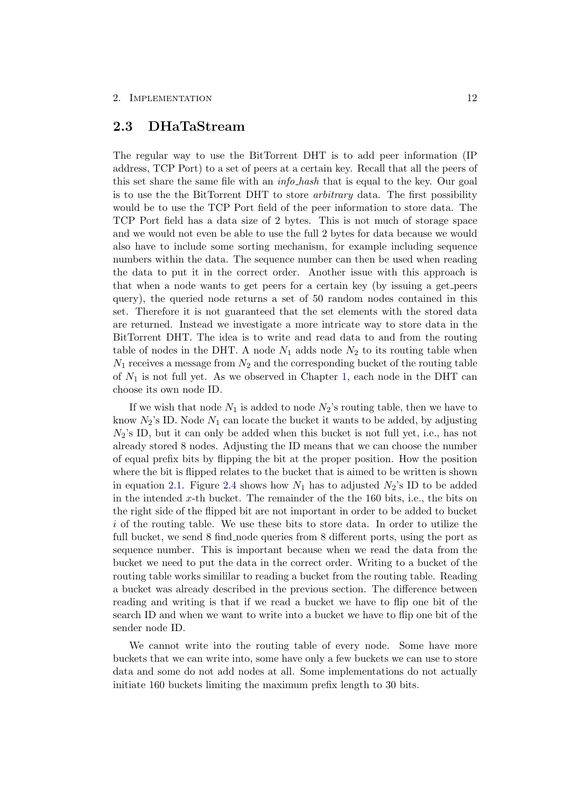### <span id="page-15-0"></span>2.3 DHaTaStream

The regular way to use the BitTorrent DHT is to add peer information (IP address, TCP Port) to a set of peers at a certain key. Recall that all the peers of this set share the same file with an *info hash* that is equal to the key. Our goal is to use the the BitTorrent DHT to store arbitrary data. The first possibility would be to use the TCP Port field of the peer information to store data. The TCP Port field has a data size of 2 bytes. This is not much of storage space and we would not even be able to use the full 2 bytes for data because we would also have to include some sorting mechanism, for example including sequence numbers within the data. The sequence number can then be used when reading the data to put it in the correct order. Another issue with this approach is that when a node wants to get peers for a certain key (by issuing a get peers query), the queried node returns a set of 50 random nodes contained in this set. Therefore it is not guaranteed that the set elements with the stored data are returned. Instead we investigate a more intricate way to store data in the BitTorrent DHT. The idea is to write and read data to and from the routing table of nodes in the DHT. A node  $N_1$  adds node  $N_2$  to its routing table when  $N_1$  receives a message from  $N_2$  and the corresponding bucket of the routing table of  $N_1$  is not full yet. As we observed in Chapter [1,](#page-4-0) each node in the DHT can choose its own node ID.

If we wish that node  $N_1$  is added to node  $N_2$ 's routing table, then we have to know  $N_2$ 's ID. Node  $N_1$  can locate the bucket it wants to be added, by adjusting  $N_2$ 's ID, but it can only be added when this bucket is not full yet, i.e., has not already stored 8 nodes. Adjusting the ID means that we can choose the number of equal prefix bits by flipping the bit at the proper position. How the position where the bit is flipped relates to the bucket that is aimed to be written is shown in equation [2.1.](#page-13-1) Figure [2.4](#page-16-0) shows how  $N_1$  has to adjusted  $N_2$ 's ID to be added in the intended x-th bucket. The remainder of the the 160 bits, i.e., the bits on the right side of the flipped bit are not important in order to be added to bucket i of the routing table. We use these bits to store data. In order to utilize the full bucket, we send 8 find node queries from 8 different ports, using the port as sequence number. This is important because when we read the data from the bucket we need to put the data in the correct order. Writing to a bucket of the routing table works simililar to reading a bucket from the routing table. Reading a bucket was already described in the previous section. The difference between reading and writing is that if we read a bucket we have to flip one bit of the search ID and when we want to write into a bucket we have to flip one bit of the sender node ID.

We cannot write into the routing table of every node. Some have more buckets that we can write into, some have only a few buckets we can use to store data and some do not add nodes at all. Some implementations do not actually initiate 160 buckets limiting the maximum prefix length to 30 bits.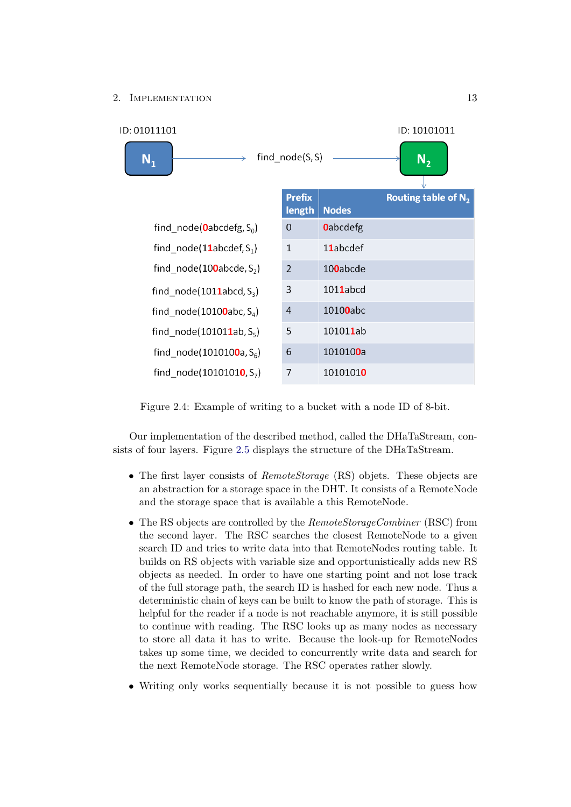

<span id="page-16-0"></span>Figure 2.4: Example of writing to a bucket with a node ID of 8-bit.

Our implementation of the described method, called the DHaTaStream, consists of four layers. Figure [2.5](#page-17-0) displays the structure of the DHaTaStream.

- The first layer consists of *RemoteStorage* (RS) objets. These objects are an abstraction for a storage space in the DHT. It consists of a RemoteNode and the storage space that is available a this RemoteNode.
- The RS objects are controlled by the *RemoteStorageCombiner* (RSC) from the second layer. The RSC searches the closest RemoteNode to a given search ID and tries to write data into that RemoteNodes routing table. It builds on RS objects with variable size and opportunistically adds new RS objects as needed. In order to have one starting point and not lose track of the full storage path, the search ID is hashed for each new node. Thus a deterministic chain of keys can be built to know the path of storage. This is helpful for the reader if a node is not reachable anymore, it is still possible to continue with reading. The RSC looks up as many nodes as necessary to store all data it has to write. Because the look-up for RemoteNodes takes up some time, we decided to concurrently write data and search for the next RemoteNode storage. The RSC operates rather slowly.
- Writing only works sequentially because it is not possible to guess how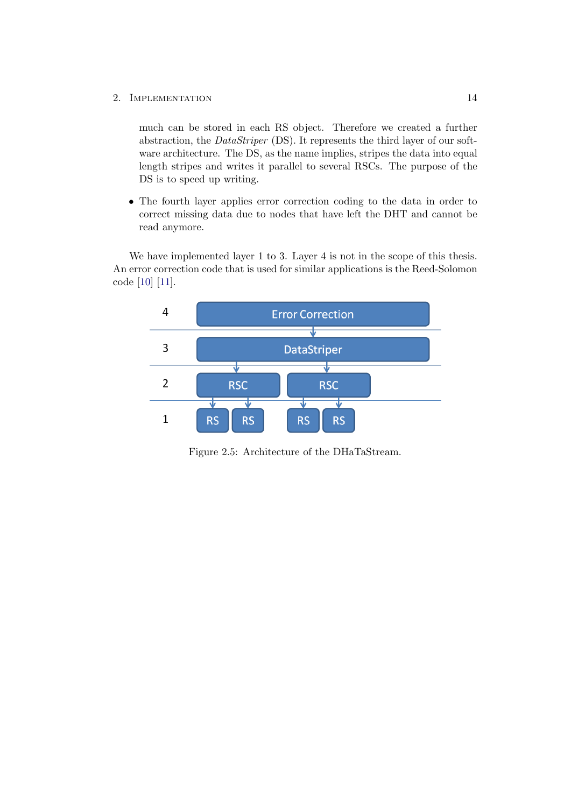much can be stored in each RS object. Therefore we created a further abstraction, the DataStriper (DS). It represents the third layer of our software architecture. The DS, as the name implies, stripes the data into equal length stripes and writes it parallel to several RSCs. The purpose of the DS is to speed up writing.

• The fourth layer applies error correction coding to the data in order to correct missing data due to nodes that have left the DHT and cannot be read anymore.

We have implemented layer 1 to 3. Layer 4 is not in the scope of this thesis. An error correction code that is used for similar applications is the Reed-Solomon code [\[10\]](#page-25-10) [\[11\]](#page-25-11).



<span id="page-17-0"></span>Figure 2.5: Architecture of the DHaTaStream.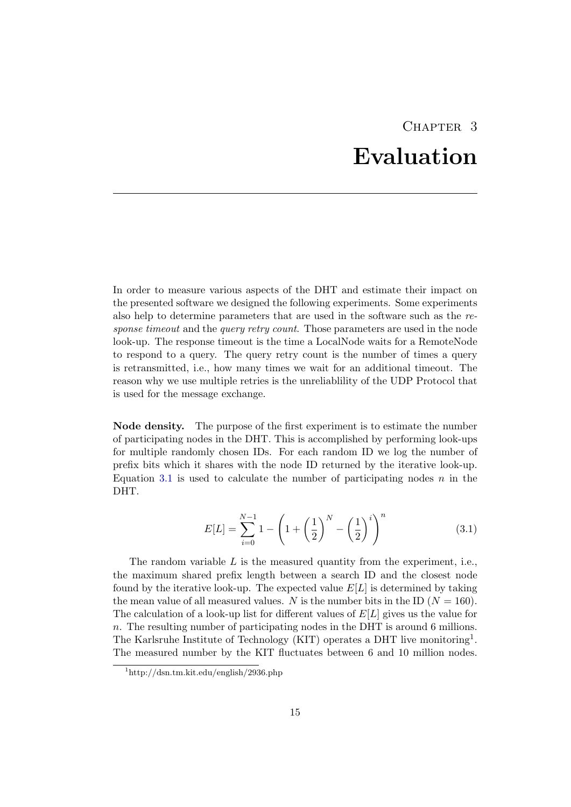## CHAPTER<sub>3</sub> Evaluation

<span id="page-18-0"></span>In order to measure various aspects of the DHT and estimate their impact on the presented software we designed the following experiments. Some experiments also help to determine parameters that are used in the software such as the response timeout and the *query retry count*. Those parameters are used in the node look-up. The response timeout is the time a LocalNode waits for a RemoteNode to respond to a query. The query retry count is the number of times a query is retransmitted, i.e., how many times we wait for an additional timeout. The reason why we use multiple retries is the unreliablility of the UDP Protocol that is used for the message exchange.

Node density. The purpose of the first experiment is to estimate the number of participating nodes in the DHT. This is accomplished by performing look-ups for multiple randomly chosen IDs. For each random ID we log the number of prefix bits which it shares with the node ID returned by the iterative look-up. Equation [3.1](#page-18-1) is used to calculate the number of participating nodes  $n$  in the DHT.

<span id="page-18-1"></span>
$$
E[L] = \sum_{i=0}^{N-1} 1 - \left(1 + \left(\frac{1}{2}\right)^N - \left(\frac{1}{2}\right)^i\right)^n \tag{3.1}
$$

The random variable  $L$  is the measured quantity from the experiment, i.e., the maximum shared prefix length between a search ID and the closest node found by the iterative look-up. The expected value  $E[L]$  is determined by taking the mean value of all measured values. N is the number bits in the ID  $(N = 160)$ . The calculation of a look-up list for different values of  $E[L]$  gives us the value for n. The resulting number of participating nodes in the DHT is around 6 millions. The Karlsruhe Institute of Technology (KIT) operates a DHT live monitoring<sup>1</sup>. The measured number by the KIT fluctuates between 6 and 10 million nodes.

<sup>1</sup>http://dsn.tm.kit.edu/english/2936.php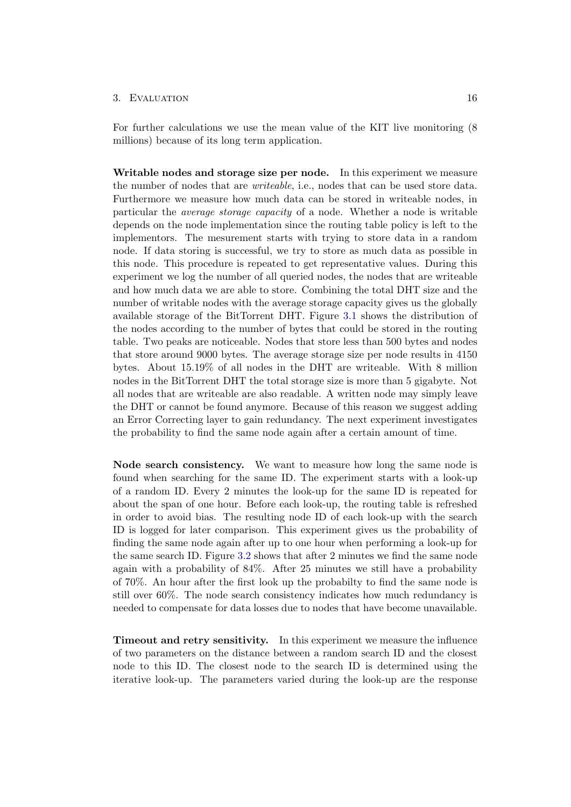#### 3. EVALUATION 16

For further calculations we use the mean value of the KIT live monitoring (8 millions) because of its long term application.

Writable nodes and storage size per node. In this experiment we measure the number of nodes that are writeable, i.e., nodes that can be used store data. Furthermore we measure how much data can be stored in writeable nodes, in particular the average storage capacity of a node. Whether a node is writable depends on the node implementation since the routing table policy is left to the implementors. The mesurement starts with trying to store data in a random node. If data storing is successful, we try to store as much data as possible in this node. This procedure is repeated to get representative values. During this experiment we log the number of all queried nodes, the nodes that are writeable and how much data we are able to store. Combining the total DHT size and the number of writable nodes with the average storage capacity gives us the globally available storage of the BitTorrent DHT. Figure [3.1](#page-20-0) shows the distribution of the nodes according to the number of bytes that could be stored in the routing table. Two peaks are noticeable. Nodes that store less than 500 bytes and nodes that store around 9000 bytes. The average storage size per node results in 4150 bytes. About 15.19% of all nodes in the DHT are writeable. With 8 million nodes in the BitTorrent DHT the total storage size is more than 5 gigabyte. Not all nodes that are writeable are also readable. A written node may simply leave the DHT or cannot be found anymore. Because of this reason we suggest adding an Error Correcting layer to gain redundancy. The next experiment investigates the probability to find the same node again after a certain amount of time.

Node search consistency. We want to measure how long the same node is found when searching for the same ID. The experiment starts with a look-up of a random ID. Every 2 minutes the look-up for the same ID is repeated for about the span of one hour. Before each look-up, the routing table is refreshed in order to avoid bias. The resulting node ID of each look-up with the search ID is logged for later comparison. This experiment gives us the probability of finding the same node again after up to one hour when performing a look-up for the same search ID. Figure [3.2](#page-21-0) shows that after 2 minutes we find the same node again with a probability of 84%. After 25 minutes we still have a probability of 70%. An hour after the first look up the probabilty to find the same node is still over 60%. The node search consistency indicates how much redundancy is needed to compensate for data losses due to nodes that have become unavailable.

Timeout and retry sensitivity. In this experiment we measure the influence of two parameters on the distance between a random search ID and the closest node to this ID. The closest node to the search ID is determined using the iterative look-up. The parameters varied during the look-up are the response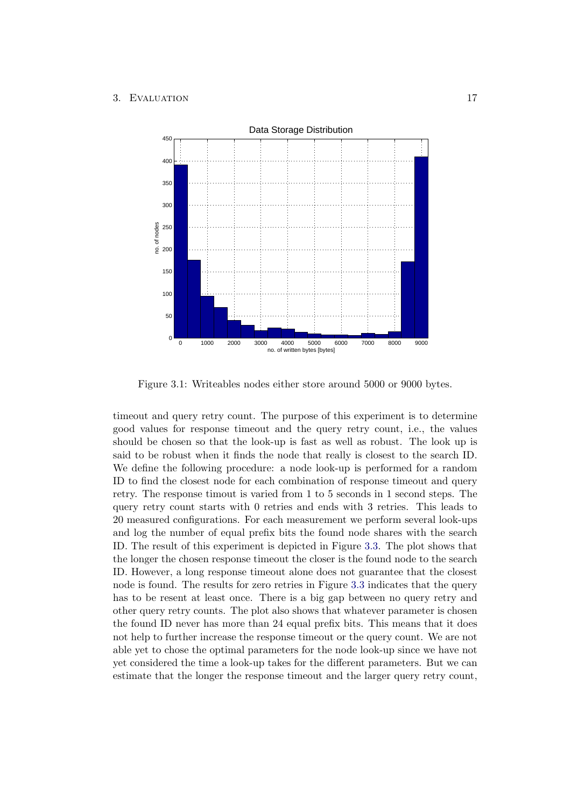

<span id="page-20-0"></span>Figure 3.1: Writeables nodes either store around 5000 or 9000 bytes.

timeout and query retry count. The purpose of this experiment is to determine good values for response timeout and the query retry count, i.e., the values should be chosen so that the look-up is fast as well as robust. The look up is said to be robust when it finds the node that really is closest to the search ID. We define the following procedure: a node look-up is performed for a random ID to find the closest node for each combination of response timeout and query retry. The response timout is varied from 1 to 5 seconds in 1 second steps. The query retry count starts with 0 retries and ends with 3 retries. This leads to 20 measured configurations. For each measurement we perform several look-ups and log the number of equal prefix bits the found node shares with the search ID. The result of this experiment is depicted in Figure [3.3.](#page-22-0) The plot shows that the longer the chosen response timeout the closer is the found node to the search ID. However, a long response timeout alone does not guarantee that the closest node is found. The results for zero retries in Figure [3.3](#page-22-0) indicates that the query has to be resent at least once. There is a big gap between no query retry and other query retry counts. The plot also shows that whatever parameter is chosen the found ID never has more than 24 equal prefix bits. This means that it does not help to further increase the response timeout or the query count. We are not able yet to chose the optimal parameters for the node look-up since we have not yet considered the time a look-up takes for the different parameters. But we can estimate that the longer the response timeout and the larger query retry count,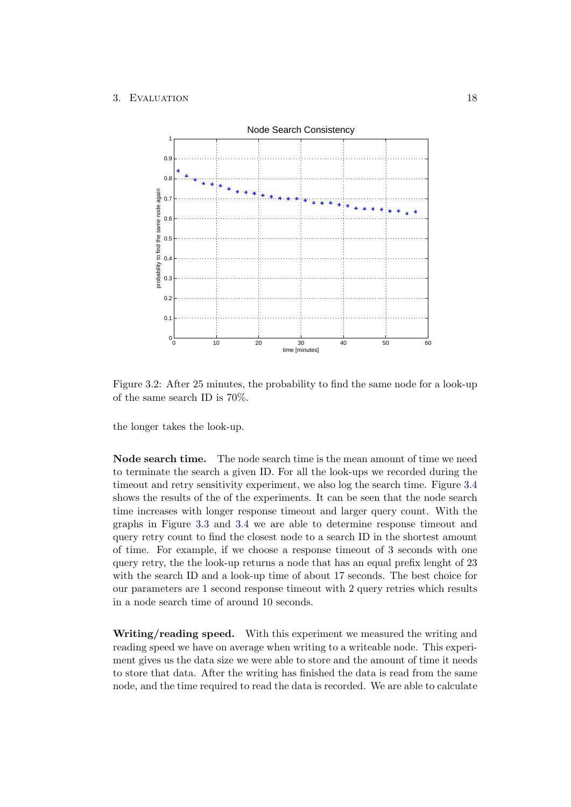

<span id="page-21-0"></span>Figure 3.2: After 25 minutes, the probability to find the same node for a look-up of the same search ID is 70%.

the longer takes the look-up.

Node search time. The node search time is the mean amount of time we need to terminate the search a given ID. For all the look-ups we recorded during the timeout and retry sensitivity experiment, we also log the search time. Figure [3.4](#page-23-0) shows the results of the of the experiments. It can be seen that the node search time increases with longer response timeout and larger query count. With the graphs in Figure [3.3](#page-22-0) and [3.4](#page-23-0) we are able to determine response timeout and query retry count to find the closest node to a search ID in the shortest amount of time. For example, if we choose a response timeout of 3 seconds with one query retry, the the look-up returns a node that has an equal prefix lenght of 23 with the search ID and a look-up time of about 17 seconds. The best choice for our parameters are 1 second response timeout with 2 query retries which results in a node search time of around 10 seconds.

Writing/reading speed. With this experiment we measured the writing and reading speed we have on average when writing to a writeable node. This experiment gives us the data size we were able to store and the amount of time it needs to store that data. After the writing has finished the data is read from the same node, and the time required to read the data is recorded. We are able to calculate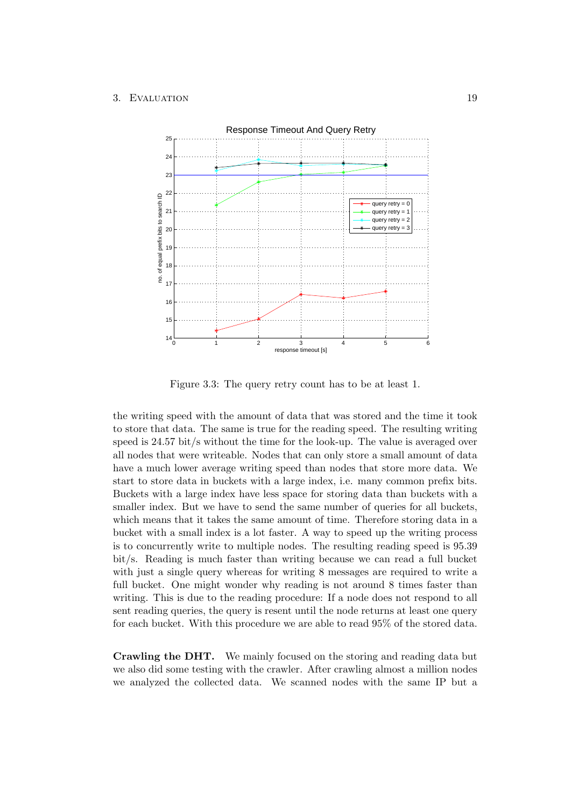#### 3. EVALUATION 19



<span id="page-22-0"></span>Figure 3.3: The query retry count has to be at least 1.

the writing speed with the amount of data that was stored and the time it took to store that data. The same is true for the reading speed. The resulting writing speed is 24.57 bit/s without the time for the look-up. The value is averaged over all nodes that were writeable. Nodes that can only store a small amount of data have a much lower average writing speed than nodes that store more data. We start to store data in buckets with a large index, i.e. many common prefix bits. Buckets with a large index have less space for storing data than buckets with a smaller index. But we have to send the same number of queries for all buckets, which means that it takes the same amount of time. Therefore storing data in a bucket with a small index is a lot faster. A way to speed up the writing process is to concurrently write to multiple nodes. The resulting reading speed is 95.39 bit/s. Reading is much faster than writing because we can read a full bucket with just a single query whereas for writing 8 messages are required to write a full bucket. One might wonder why reading is not around 8 times faster than writing. This is due to the reading procedure: If a node does not respond to all sent reading queries, the query is resent until the node returns at least one query for each bucket. With this procedure we are able to read 95% of the stored data.

Crawling the DHT. We mainly focused on the storing and reading data but we also did some testing with the crawler. After crawling almost a million nodes we analyzed the collected data. We scanned nodes with the same IP but a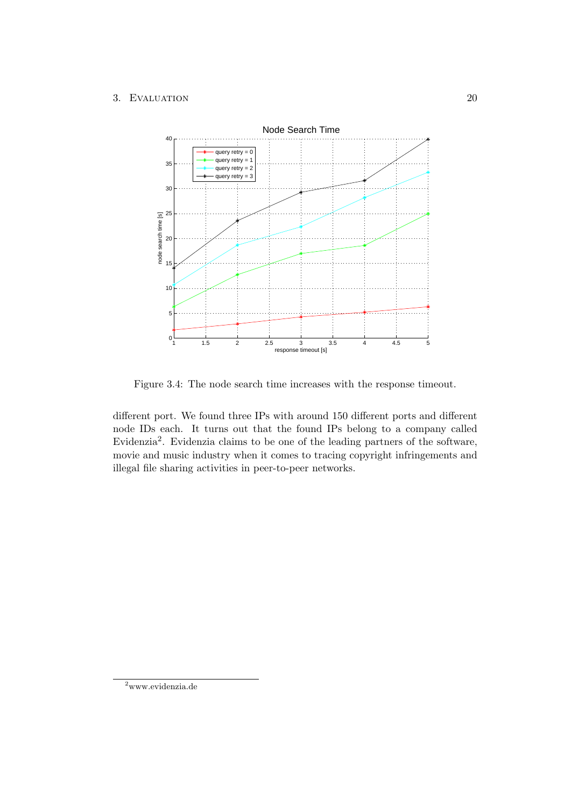#### 3. EVALUATION 20



<span id="page-23-0"></span>Figure 3.4: The node search time increases with the response timeout.

different port. We found three IPs with around 150 different ports and different node IDs each. It turns out that the found IPs belong to a company called Evidenzia<sup>2</sup>. Evidenzia claims to be one of the leading partners of the software, movie and music industry when it comes to tracing copyright infringements and illegal file sharing activities in peer-to-peer networks.

<sup>2</sup>www.evidenzia.de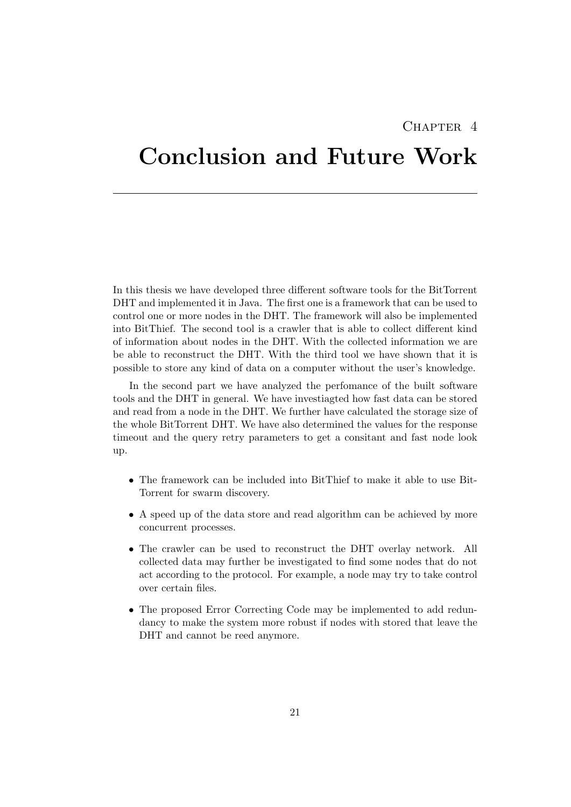### CHAPTER<sub>4</sub>

## <span id="page-24-0"></span>Conclusion and Future Work

In this thesis we have developed three different software tools for the BitTorrent DHT and implemented it in Java. The first one is a framework that can be used to control one or more nodes in the DHT. The framework will also be implemented into BitThief. The second tool is a crawler that is able to collect different kind of information about nodes in the DHT. With the collected information we are be able to reconstruct the DHT. With the third tool we have shown that it is possible to store any kind of data on a computer without the user's knowledge.

In the second part we have analyzed the perfomance of the built software tools and the DHT in general. We have investiagted how fast data can be stored and read from a node in the DHT. We further have calculated the storage size of the whole BitTorrent DHT. We have also determined the values for the response timeout and the query retry parameters to get a consitant and fast node look up.

- The framework can be included into BitThief to make it able to use Bit-Torrent for swarm discovery.
- A speed up of the data store and read algorithm can be achieved by more concurrent processes.
- The crawler can be used to reconstruct the DHT overlay network. All collected data may further be investigated to find some nodes that do not act according to the protocol. For example, a node may try to take control over certain files.
- The proposed Error Correcting Code may be implemented to add redundancy to make the system more robust if nodes with stored that leave the DHT and cannot be reed anymore.